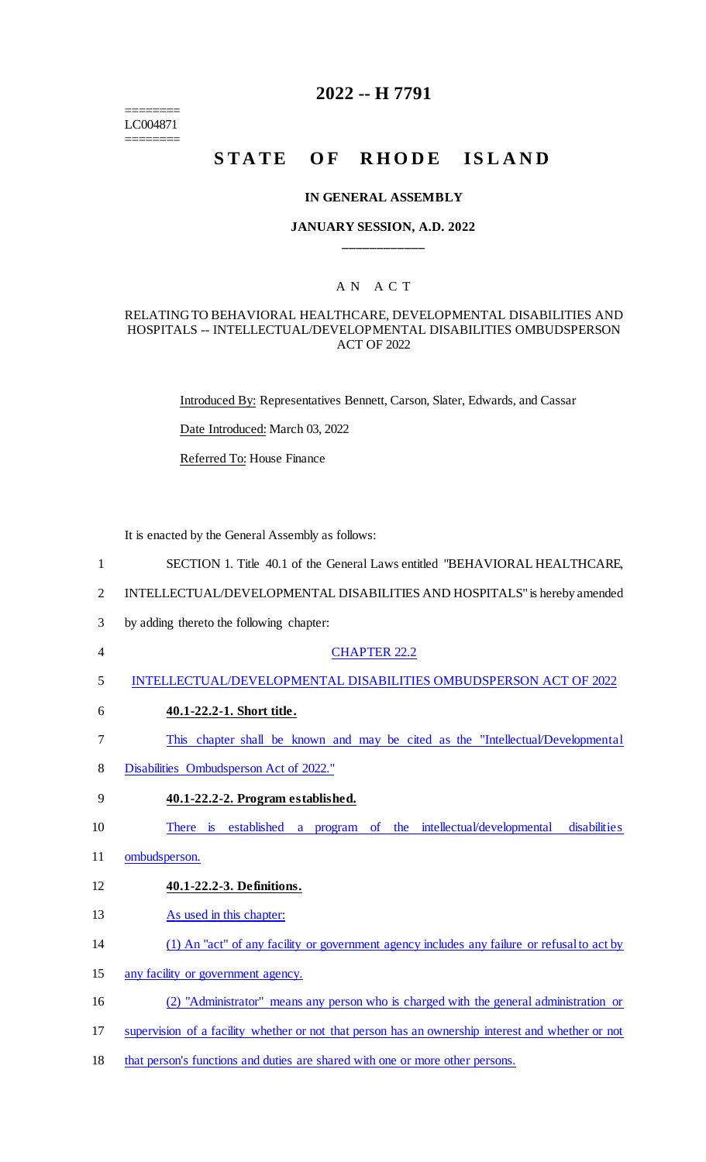======== LC004871 ========

## **2022 -- H 7791**

# **STATE OF RHODE ISLAND**

#### **IN GENERAL ASSEMBLY**

#### **JANUARY SESSION, A.D. 2022 \_\_\_\_\_\_\_\_\_\_\_\_**

## A N A C T

#### RELATING TO BEHAVIORAL HEALTHCARE, DEVELOPMENTAL DISABILITIES AND HOSPITALS -- INTELLECTUAL/DEVELOPMENTAL DISABILITIES OMBUDSPERSON ACT OF 2022

Introduced By: Representatives Bennett, Carson, Slater, Edwards, and Cassar

Date Introduced: March 03, 2022

Referred To: House Finance

It is enacted by the General Assembly as follows:

- 1 SECTION 1. Title 40.1 of the General Laws entitled "BEHAVIORAL HEALTHCARE,
- 2 INTELLECTUAL/DEVELOPMENTAL DISABILITIES AND HOSPITALS" is hereby amended
- 3 by adding thereto the following chapter:
- 4 CHAPTER 22.2
- 5 INTELLECTUAL/DEVELOPMENTAL DISABILITIES OMBUDSPERSON ACT OF 2022
- 6 **40.1-22.2-1. Short title.**
- 7 This chapter shall be known and may be cited as the "Intellectual/Developmental
- 8 Disabilities Ombudsperson Act of 2022."
- 9 **40.1-22.2-2. Program established.**

10 There is established a program of the intellectual/developmental disabilities

- 11 ombudsperson.
- 12 **40.1-22.2-3. Definitions.**
- 13 As used in this chapter:
- 14 (1) An "act" of any facility or government agency includes any failure or refusal to act by
- 15 any facility or government agency.
- 16 (2) "Administrator" means any person who is charged with the general administration or
- 17 supervision of a facility whether or not that person has an ownership interest and whether or not
- 18 that person's functions and duties are shared with one or more other persons.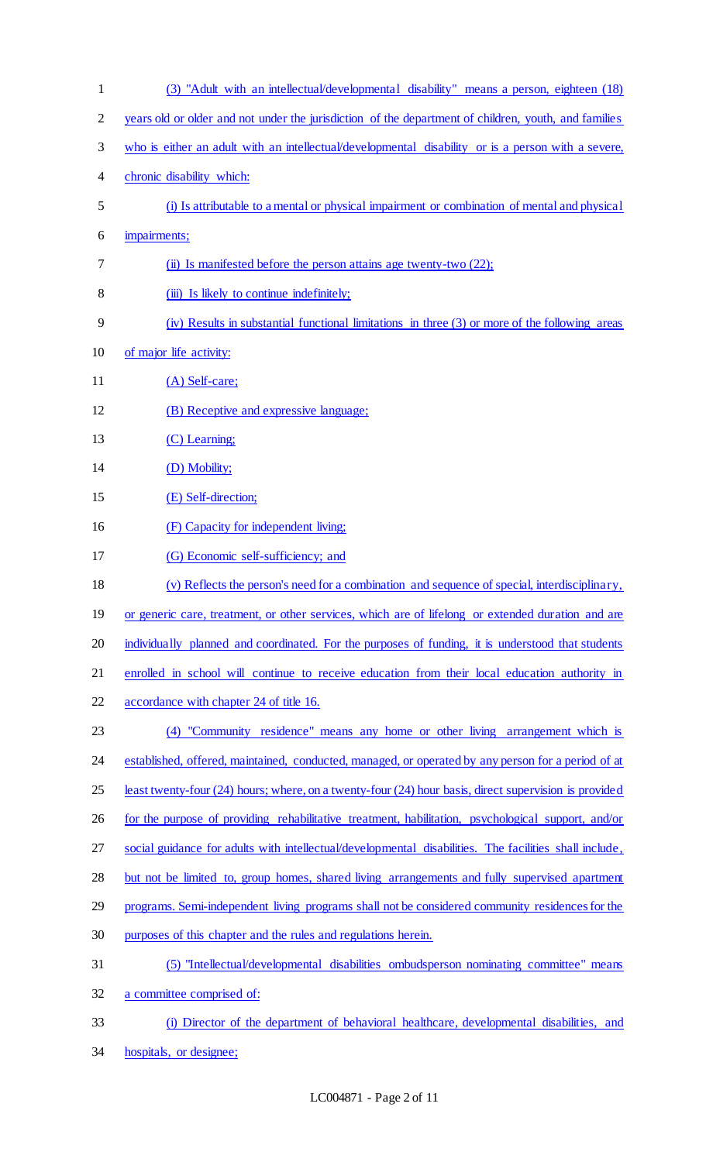| $\mathbf{1}$   | (3) "Adult with an intellectual/developmental disability" means a person, eighteen (18)                |
|----------------|--------------------------------------------------------------------------------------------------------|
| $\overline{2}$ | years old or older and not under the jurisdiction of the department of children, youth, and families   |
| 3              | who is either an adult with an intellectual/developmental disability or is a person with a severe,     |
| 4              | chronic disability which:                                                                              |
| 5              | (i) Is attributable to a mental or physical impairment or combination of mental and physical           |
| 6              | impairments;                                                                                           |
| 7              | (ii) Is manifested before the person attains age twenty-two (22);                                      |
| 8              | (iii) Is likely to continue indefinitely;                                                              |
| 9              | (iv) Results in substantial functional limitations in three (3) or more of the following areas         |
| 10             | of major life activity:                                                                                |
| 11             | $(A)$ Self-care;                                                                                       |
| 12             | (B) Receptive and expressive language;                                                                 |
| 13             | (C) Learning;                                                                                          |
| 14             | (D) Mobility;                                                                                          |
| 15             | (E) Self-direction;                                                                                    |
| 16             | (F) Capacity for independent living;                                                                   |
| 17             | (G) Economic self-sufficiency; and                                                                     |
| 18             | (v) Reflects the person's need for a combination and sequence of special, interdisciplinary,           |
| 19             | or generic care, treatment, or other services, which are of lifelong or extended duration and are      |
| 20             | individually planned and coordinated. For the purposes of funding, it is understood that students      |
| 21             | enrolled in school will continue to receive education from their local education authority in          |
| 22             | accordance with chapter 24 of title 16.                                                                |
| 23             | (4) "Community residence" means any home or other living arrangement which is                          |
| 24             | established, offered, maintained, conducted, managed, or operated by any person for a period of at     |
| 25             | least twenty-four (24) hours; where, on a twenty-four (24) hour basis, direct supervision is provided  |
| 26             | for the purpose of providing rehabilitative treatment, habilitation, psychological support, and/or     |
| 27             | social guidance for adults with intellectual/developmental disabilities. The facilities shall include, |
| 28             | but not be limited to, group homes, shared living arrangements and fully supervised apartment          |
| 29             | programs. Semi-independent living programs shall not be considered community residences for the        |
| 30             | purposes of this chapter and the rules and regulations herein.                                         |
| 31             | (5) "Intellectual/developmental disabilities ombudsperson nominating committee" means                  |
| 32             | a committee comprised of:                                                                              |
| 33             | (i) Director of the department of behavioral healthcare, developmental disabilities, and               |
| 34             | hospitals, or designee;                                                                                |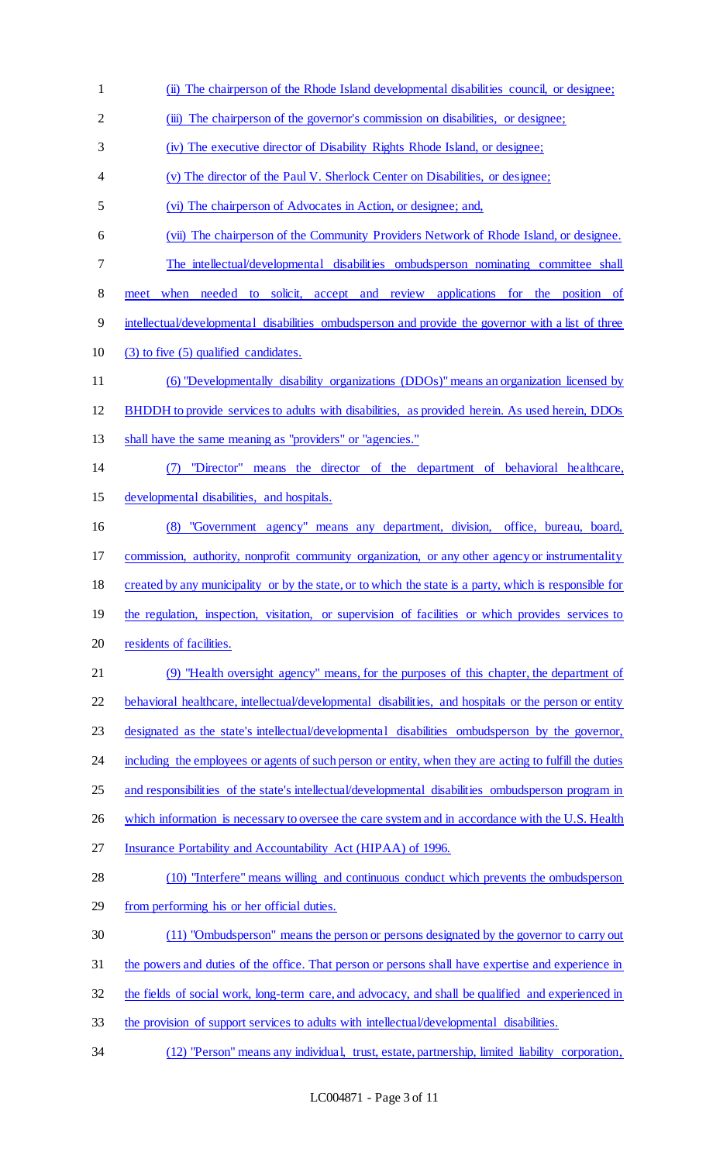- (ii) The chairperson of the Rhode Island developmental disabilities council, or designee;
- (iii) The chairperson of the governor's commission on disabilities, or designee;
- (iv) The executive director of Disability Rights Rhode Island, or designee;
- (v) The director of the Paul V. Sherlock Center on Disabilities, or designee;
- (vi) The chairperson of Advocates in Action, or designee; and,
- (vii) The chairperson of the Community Providers Network of Rhode Island, or designee.
- The intellectual/developmental disabilities ombudsperson nominating committee shall
- meet when needed to solicit, accept and review applications for the position of
- intellectual/developmental disabilities ombudsperson and provide the governor with a list of three
- (3) to five (5) qualified candidates.
- (6) "Developmentally disability organizations (DDOs)" means an organization licensed by
- BHDDH to provide services to adults with disabilities, as provided herein. As used herein, DDOs
- shall have the same meaning as "providers" or "agencies."
- (7) "Director" means the director of the department of behavioral healthcare, developmental disabilities, and hospitals.
- (8) "Government agency" means any department, division, office, bureau, board, commission, authority, nonprofit community organization, or any other agency or instrumentality created by any municipality or by the state, or to which the state is a party, which is responsible for 19 the regulation, inspection, visitation, or supervision of facilities or which provides services to
- 20 residents of facilities.
- (9) "Health oversight agency" means, for the purposes of this chapter, the department of 22 behavioral healthcare, intellectual/developmental disabilities, and hospitals or the person or entity designated as the state's intellectual/developmental disabilities ombudsperson by the governor, 24 including the employees or agents of such person or entity, when they are acting to fulfill the duties and responsibilities of the state's intellectual/developmental disabilities ombudsperson program in
- 26 which information is necessary to oversee the care system and in accordance with the U.S. Health
- 27 Insurance Portability and Accountability Act (HIPAA) of 1996.
- (10) "Interfere" means willing and continuous conduct which prevents the ombudsperson
- from performing his or her official duties.
- (11) "Ombudsperson" means the person or persons designated by the governor to carry out
- the powers and duties of the office. That person or persons shall have expertise and experience in
- the fields of social work, long-term care, and advocacy, and shall be qualified and experienced in
- the provision of support services to adults with intellectual/developmental disabilities.
- (12) "Person" means any individual, trust, estate, partnership, limited liability corporation,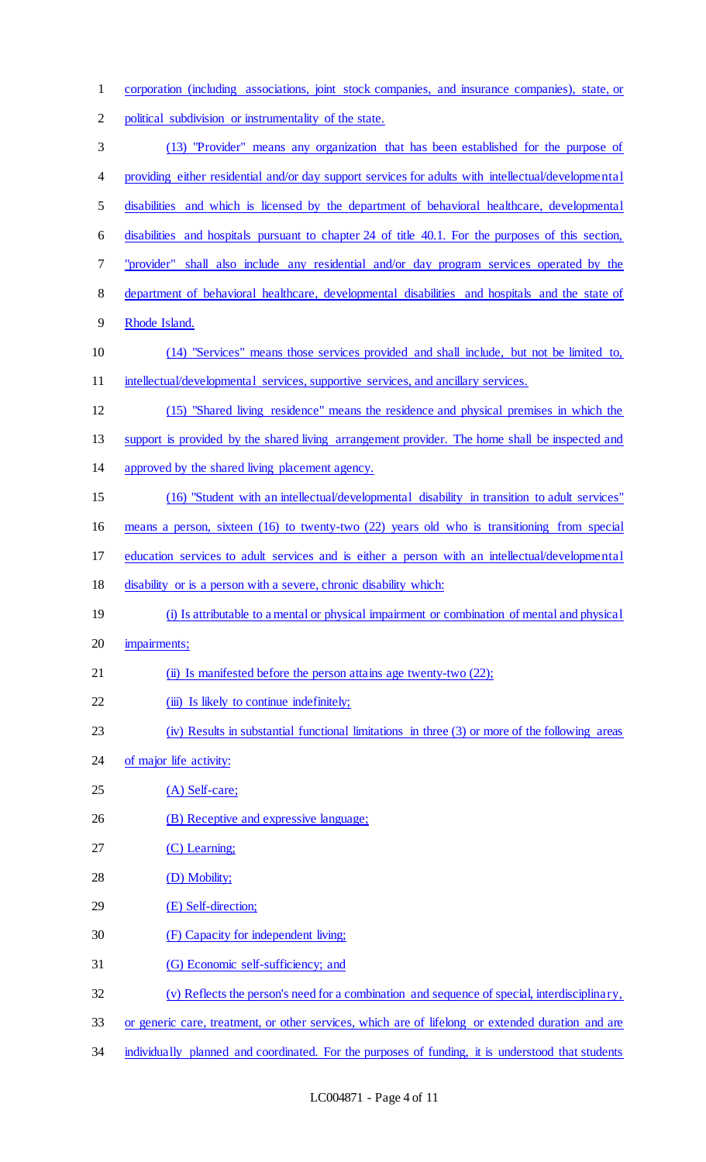| $\mathbf{1}$   | corporation (including associations, joint stock companies, and insurance companies), state, or     |
|----------------|-----------------------------------------------------------------------------------------------------|
| $\overline{2}$ | political subdivision or instrumentality of the state.                                              |
| $\mathfrak{Z}$ | (13) "Provider" means any organization that has been established for the purpose of                 |
| 4              | providing either residential and/or day support services for adults with intellectual/developmental |
| 5              | disabilities and which is licensed by the department of behavioral healthcare, developmental        |
| 6              | disabilities and hospitals pursuant to chapter 24 of title 40.1. For the purposes of this section,  |
| $\tau$         | "provider" shall also include any residential and/or day program services operated by the           |
| 8              | department of behavioral healthcare, developmental disabilities and hospitals and the state of      |
| 9              | Rhode Island.                                                                                       |
| 10             | (14) "Services" means those services provided and shall include, but not be limited to,             |
| 11             | intellectual/developmental services, supportive services, and ancillary services.                   |
| 12             | (15) "Shared living residence" means the residence and physical premises in which the               |
| 13             | support is provided by the shared living arrangement provider. The home shall be inspected and      |
| 14             | approved by the shared living placement agency.                                                     |
| 15             | (16) "Student with an intellectual/developmental disability in transition to adult services"        |
| 16             | means a person, sixteen (16) to twenty-two (22) years old who is transitioning from special         |
|                | education services to adult services and is either a person with an intellectual/developmental      |
| 17             |                                                                                                     |
| 18             | disability or is a person with a severe, chronic disability which:                                  |
| 19             | (i) Is attributable to a mental or physical impairment or combination of mental and physical        |
| 20             | impairments;                                                                                        |
| 21             | (ii) Is manifested before the person attains age twenty-two (22);                                   |
| 22             | (iii) Is likely to continue indefinitely;                                                           |
| 23             | (iv) Results in substantial functional limitations in three (3) or more of the following areas      |
| 24             | of major life activity:                                                                             |
| 25             | $(A)$ Self-care;                                                                                    |
| 26             | (B) Receptive and expressive language;                                                              |
| 27             | (C) Learning;                                                                                       |
| 28             | (D) Mobility;                                                                                       |
| 29             | (E) Self-direction;                                                                                 |
| 30             | (F) Capacity for independent living;                                                                |
| 31             | (G) Economic self-sufficiency; and                                                                  |
| 32             | (v) Reflects the person's need for a combination and sequence of special, interdisciplinary,        |
| 33             | or generic care, treatment, or other services, which are of lifelong or extended duration and are   |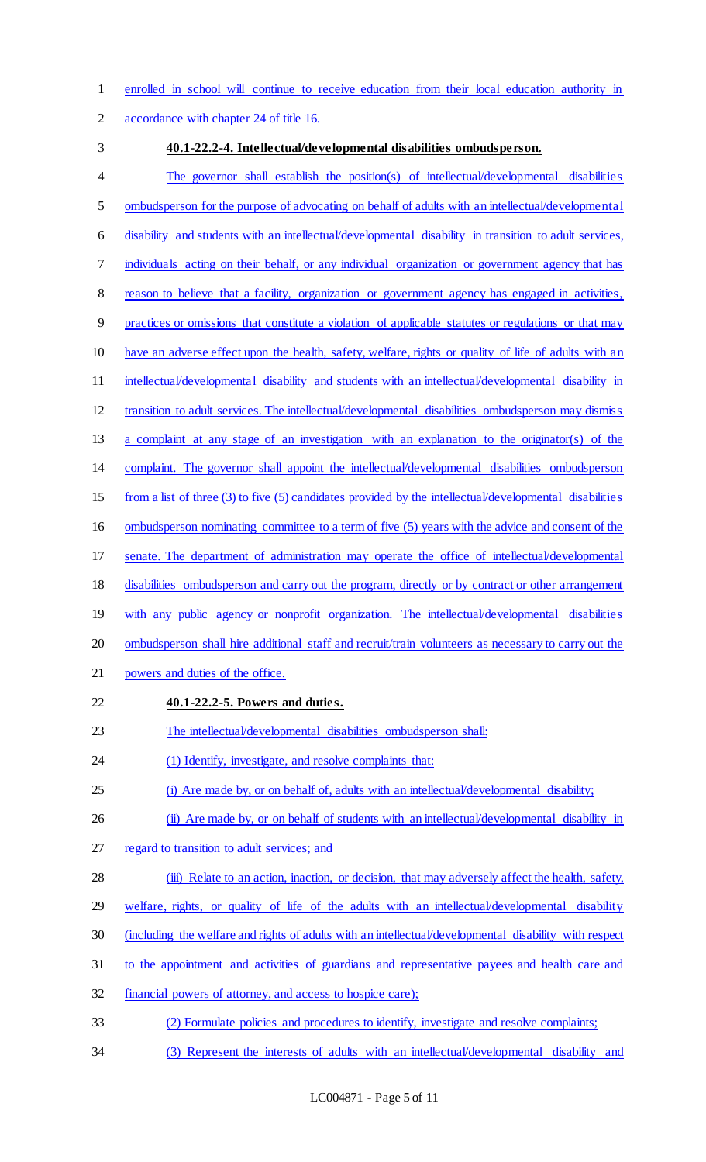enrolled in school will continue to receive education from their local education authority in

accordance with chapter 24 of title 16.

#### **40.1-22.2-4. Intellectual/developmental disabilities ombudsperson.**

 The governor shall establish the position(s) of intellectual/developmental disabilities 5 ombudsperson for the purpose of advocating on behalf of adults with an intellectual/developmental disability and students with an intellectual/developmental disability in transition to adult services, individuals acting on their behalf, or any individual organization or government agency that has reason to believe that a facility, organization or government agency has engaged in activities, practices or omissions that constitute a violation of applicable statutes or regulations or that may have an adverse effect upon the health, safety, welfare, rights or quality of life of adults with an 11 intellectual/developmental disability and students with an intellectual/developmental disability in transition to adult services. The intellectual/developmental disabilities ombudsperson may dismiss a complaint at any stage of an investigation with an explanation to the originator(s) of the complaint. The governor shall appoint the intellectual/developmental disabilities ombudsperson from a list of three (3) to five (5) candidates provided by the intellectual/developmental disabilities ombudsperson nominating committee to a term of five (5) years with the advice and consent of the senate. The department of administration may operate the office of intellectual/developmental disabilities ombudsperson and carry out the program, directly or by contract or other arrangement with any public agency or nonprofit organization. The intellectual/developmental disabilities 20 ombudsperson shall hire additional staff and recruit/train volunteers as necessary to carry out the powers and duties of the office. **40.1-22.2-5. Powers and duties.**  The intellectual/developmental disabilities ombudsperson shall: 24 (1) Identify, investigate, and resolve complaints that: (i) Are made by, or on behalf of, adults with an intellectual/developmental disability; 26 (ii) Are made by, or on behalf of students with an intellectual/developmental disability in 27 regard to transition to adult services; and (iii) Relate to an action, inaction, or decision, that may adversely affect the health, safety, 29 welfare, rights, or quality of life of the adults with an intellectual/developmental disability (including the welfare and rights of adults with an intellectual/developmental disability with respect

- to the appointment and activities of guardians and representative payees and health care and
- financial powers of attorney, and access to hospice care);
- (2) Formulate policies and procedures to identify, investigate and resolve complaints;
- (3) Represent the interests of adults with an intellectual/developmental disability and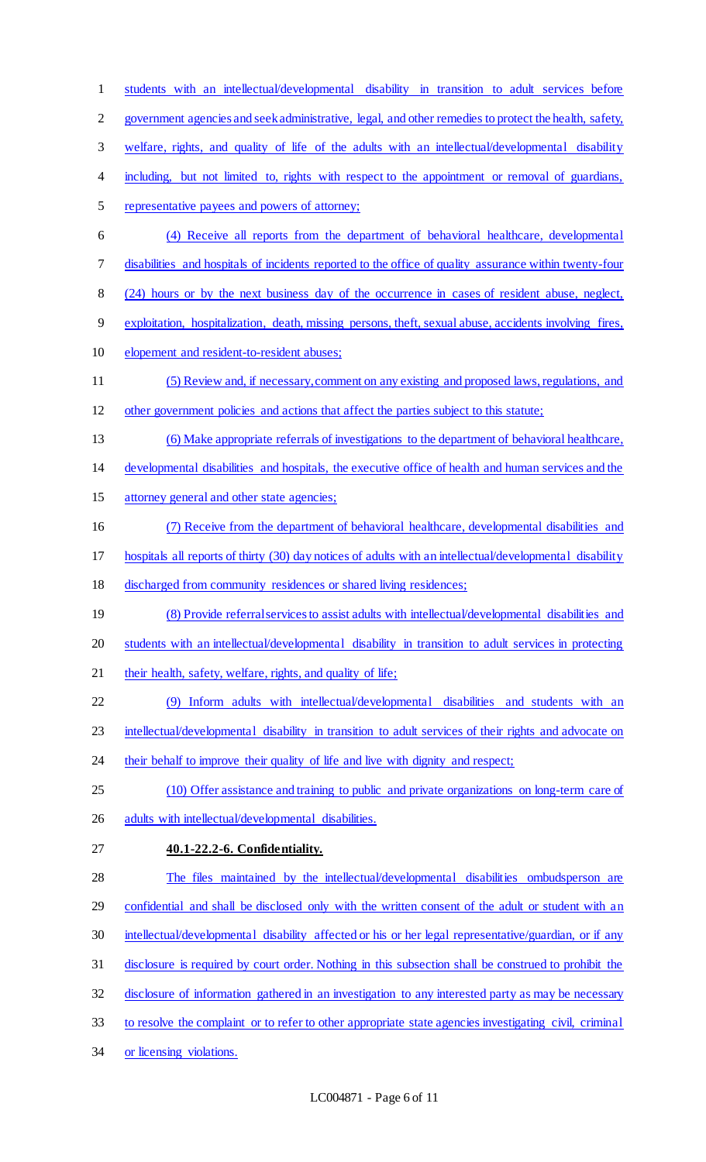students with an intellectual/developmental disability in transition to adult services before government agencies and seek administrative, legal, and other remedies to protect the health, safety, welfare, rights, and quality of life of the adults with an intellectual/developmental disability 4 including, but not limited to, rights with respect to the appointment or removal of guardians, representative payees and powers of attorney; (4) Receive all reports from the department of behavioral healthcare, developmental disabilities and hospitals of incidents reported to the office of quality assurance within twenty-four (24) hours or by the next business day of the occurrence in cases of resident abuse, neglect, exploitation, hospitalization, death, missing persons, theft, sexual abuse, accidents involving fires, elopement and resident-to-resident abuses; (5) Review and, if necessary, comment on any existing and proposed laws, regulations, and other government policies and actions that affect the parties subject to this statute; (6) Make appropriate referrals of investigations to the department of behavioral healthcare, developmental disabilities and hospitals, the executive office of health and human services and the attorney general and other state agencies; (7) Receive from the department of behavioral healthcare, developmental disabilities and hospitals all reports of thirty (30) day notices of adults with an intellectual/developmental disability discharged from community residences or shared living residences; 19 (8) Provide referral services to assist adults with intellectual/developmental disabilities and students with an intellectual/developmental disability in transition to adult services in protecting 21 their health, safety, welfare, rights, and quality of life; (9) Inform adults with intellectual/developmental disabilities and students with an intellectual/developmental disability in transition to adult services of their rights and advocate on 24 their behalf to improve their quality of life and live with dignity and respect; (10) Offer assistance and training to public and private organizations on long-term care of 26 adults with intellectual/developmental disabilities. **40.1-22.2-6. Confidentiality.**  The files maintained by the intellectual/developmental disabilities ombudsperson are 29 confidential and shall be disclosed only with the written consent of the adult or student with an 30 intellectual/developmental disability affected or his or her legal representative/guardian, or if any disclosure is required by court order. Nothing in this subsection shall be construed to prohibit the 32 disclosure of information gathered in an investigation to any interested party as may be necessary to resolve the complaint or to refer to other appropriate state agencies investigating civil, criminal or licensing violations.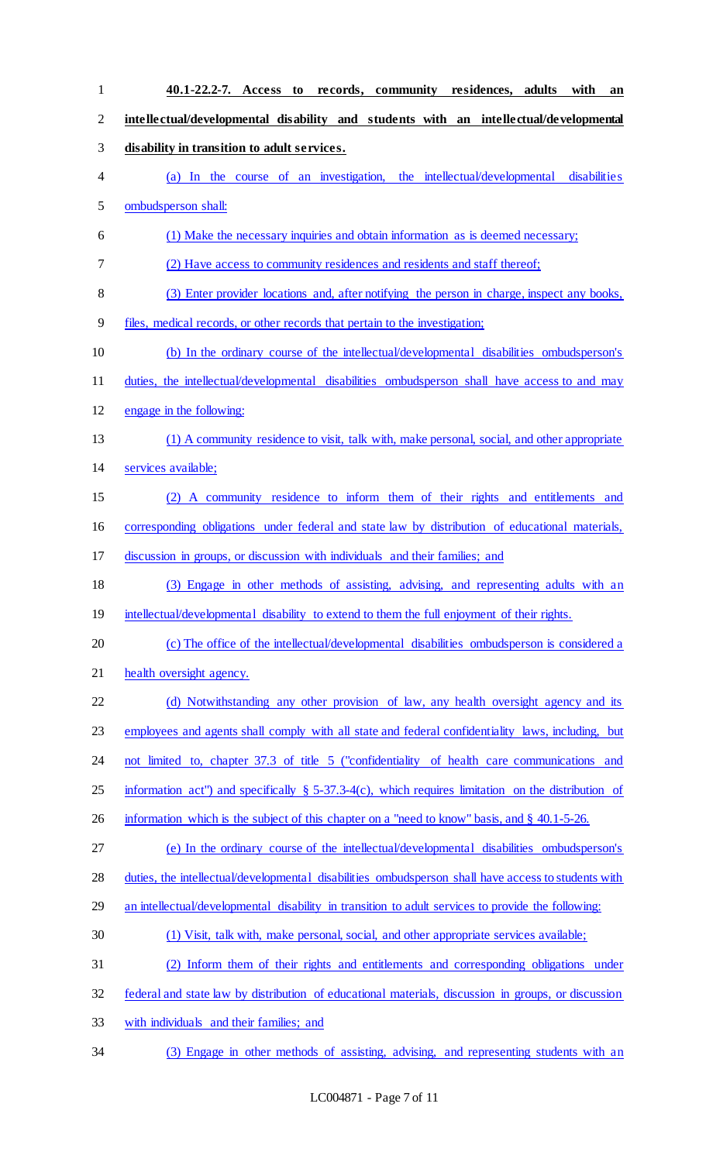**40.1-22.2-7. Access to records, community residences, adults with an intellectual/developmental disability and students with an intellectual/developmental disability in transition to adult services.**  (a) In the course of an investigation, the intellectual/developmental disabilities ombudsperson shall: (1) Make the necessary inquiries and obtain information as is deemed necessary; (2) Have access to community residences and residents and staff thereof; (3) Enter provider locations and, after notifying the person in charge, inspect any books, files, medical records, or other records that pertain to the investigation; (b) In the ordinary course of the intellectual/developmental disabilities ombudsperson's duties, the intellectual/developmental disabilities ombudsperson shall have access to and may engage in the following: (1) A community residence to visit, talk with, make personal, social, and other appropriate services available; (2) A community residence to inform them of their rights and entitlements and corresponding obligations under federal and state law by distribution of educational materials, discussion in groups, or discussion with individuals and their families; and (3) Engage in other methods of assisting, advising, and representing adults with an 19 intellectual/developmental disability to extend to them the full enjoyment of their rights. 20 (c) The office of the intellectual/developmental disabilities ombudsperson is considered a health oversight agency. 22 (d) Notwithstanding any other provision of law, any health oversight agency and its employees and agents shall comply with all state and federal confidentiality laws, including, but not limited to, chapter 37.3 of title 5 ("confidentiality of health care communications and information act") and specifically § 5-37.3-4(c), which requires limitation on the distribution of 26 information which is the subject of this chapter on a "need to know" basis, and § 40.1-5-26. (e) In the ordinary course of the intellectual/developmental disabilities ombudsperson's duties, the intellectual/developmental disabilities ombudsperson shall have access to students with 29 an intellectual/developmental disability in transition to adult services to provide the following: (1) Visit, talk with, make personal, social, and other appropriate services available; (2) Inform them of their rights and entitlements and corresponding obligations under federal and state law by distribution of educational materials, discussion in groups, or discussion with individuals and their families; and (3) Engage in other methods of assisting, advising, and representing students with an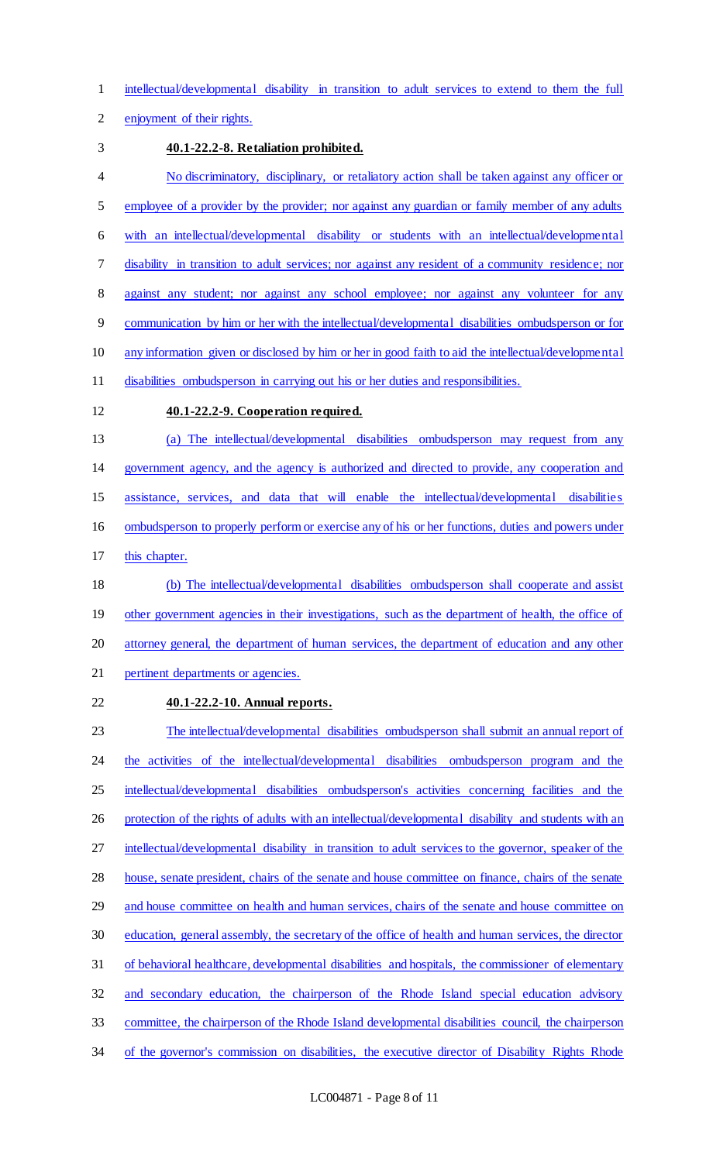intellectual/developmental disability in transition to adult services to extend to them the full

enjoyment of their rights.

#### **40.1-22.2-8. Retaliation prohibited.**

 No discriminatory, disciplinary, or retaliatory action shall be taken against any officer or 5 employee of a provider by the provider; nor against any guardian or family member of any adults with an intellectual/developmental disability or students with an intellectual/developmental disability in transition to adult services; nor against any resident of a community residence; nor 8 against any student; nor against any school employee; nor against any volunteer for any communication by him or her with the intellectual/developmental disabilities ombudsperson or for any information given or disclosed by him or her in good faith to aid the intellectual/developmental disabilities ombudsperson in carrying out his or her duties and responsibilities.

## **40.1-22.2-9. Cooperation required.**

 (a) The intellectual/developmental disabilities ombudsperson may request from any government agency, and the agency is authorized and directed to provide, any cooperation and assistance, services, and data that will enable the intellectual/developmental disabilities ombudsperson to properly perform or exercise any of his or her functions, duties and powers under

this chapter.

 (b) The intellectual/developmental disabilities ombudsperson shall cooperate and assist 19 other government agencies in their investigations, such as the department of health, the office of attorney general, the department of human services, the department of education and any other pertinent departments or agencies.

**40.1-22.2-10. Annual reports.** 

 The intellectual/developmental disabilities ombudsperson shall submit an annual report of 24 the activities of the intellectual/developmental disabilities ombudsperson program and the 25 intellectual/developmental disabilities ombudsperson's activities concerning facilities and the 26 protection of the rights of adults with an intellectual/developmental disability and students with an intellectual/developmental disability in transition to adult services to the governor, speaker of the house, senate president, chairs of the senate and house committee on finance, chairs of the senate 29 and house committee on health and human services, chairs of the senate and house committee on education, general assembly, the secretary of the office of health and human services, the director of behavioral healthcare, developmental disabilities and hospitals, the commissioner of elementary and secondary education, the chairperson of the Rhode Island special education advisory committee, the chairperson of the Rhode Island developmental disabilities council, the chairperson 34 of the governor's commission on disabilities, the executive director of Disability Rights Rhode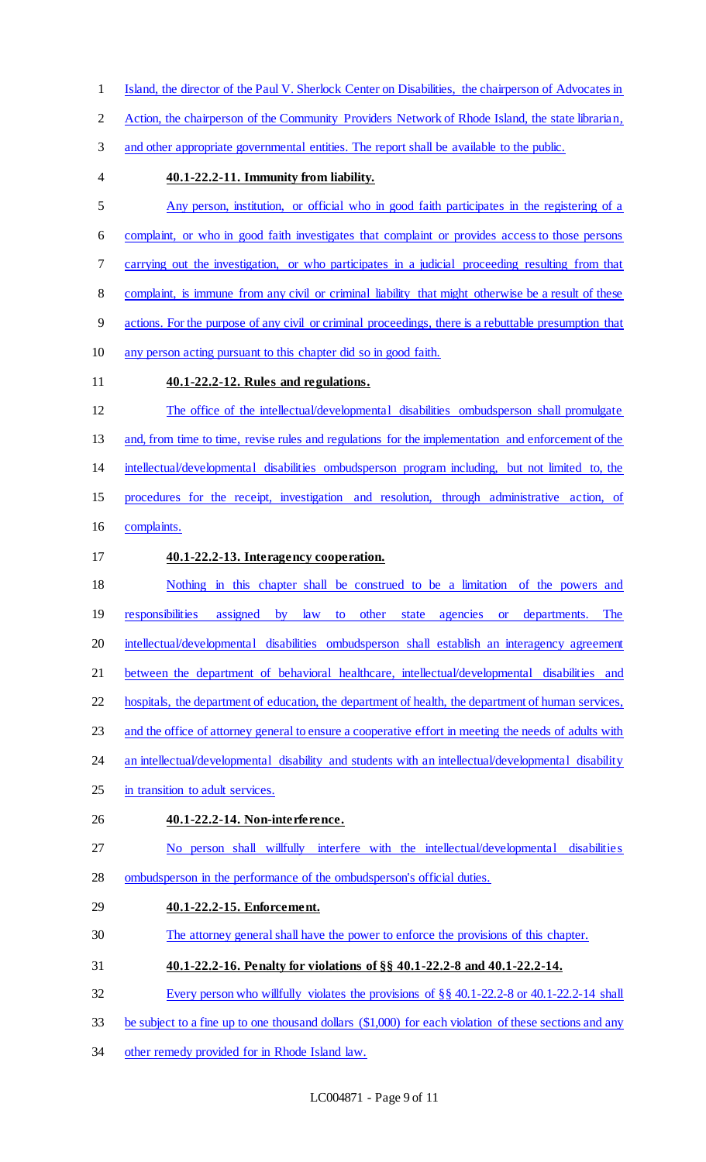- Island, the director of the Paul V. Sherlock Center on Disabilities, the chairperson of Advocates in
- Action, the chairperson of the Community Providers Network of Rhode Island, the state librarian,
- and other appropriate governmental entities. The report shall be available to the public.
- 

## **40.1-22.2-11. Immunity from liability.**

- Any person, institution, or official who in good faith participates in the registering of a complaint, or who in good faith investigates that complaint or provides access to those persons carrying out the investigation, or who participates in a judicial proceeding resulting from that complaint, is immune from any civil or criminal liability that might otherwise be a result of these actions. For the purpose of any civil or criminal proceedings, there is a rebuttable presumption that any person acting pursuant to this chapter did so in good faith. **40.1-22.2-12. Rules and regulations.**
- The office of the intellectual/developmental disabilities ombudsperson shall promulgate and, from time to time, revise rules and regulations for the implementation and enforcement of the intellectual/developmental disabilities ombudsperson program including, but not limited to, the procedures for the receipt, investigation and resolution, through administrative action, of complaints.
- **40.1-22.2-13. Interagency cooperation.**
- Nothing in this chapter shall be construed to be a limitation of the powers and responsibilities assigned by law to other state agencies or departments. The intellectual/developmental disabilities ombudsperson shall establish an interagency agreement between the department of behavioral healthcare, intellectual/developmental disabilities and hospitals, the department of education, the department of health, the department of human services, and the office of attorney general to ensure a cooperative effort in meeting the needs of adults with 24 an intellectual/developmental disability and students with an intellectual/developmental disability in transition to adult services. **40.1-22.2-14. Non-interference.**  No person shall willfully interfere with the intellectual/developmental disabilities
- ombudsperson in the performance of the ombudsperson's official duties.
- **40.1-22.2-15. Enforcement.**
- The attorney general shall have the power to enforce the provisions of this chapter.
- **40.1-22.2-16. Penalty for violations of §§ 40.1-22.2-8 and 40.1-22.2-14.**
- Every person who willfully violates the provisions of §§ 40.1-22.2-8 or 40.1-22.2-14 shall
- be subject to a fine up to one thousand dollars (\$1,000) for each violation of these sections and any
- other remedy provided for in Rhode Island law.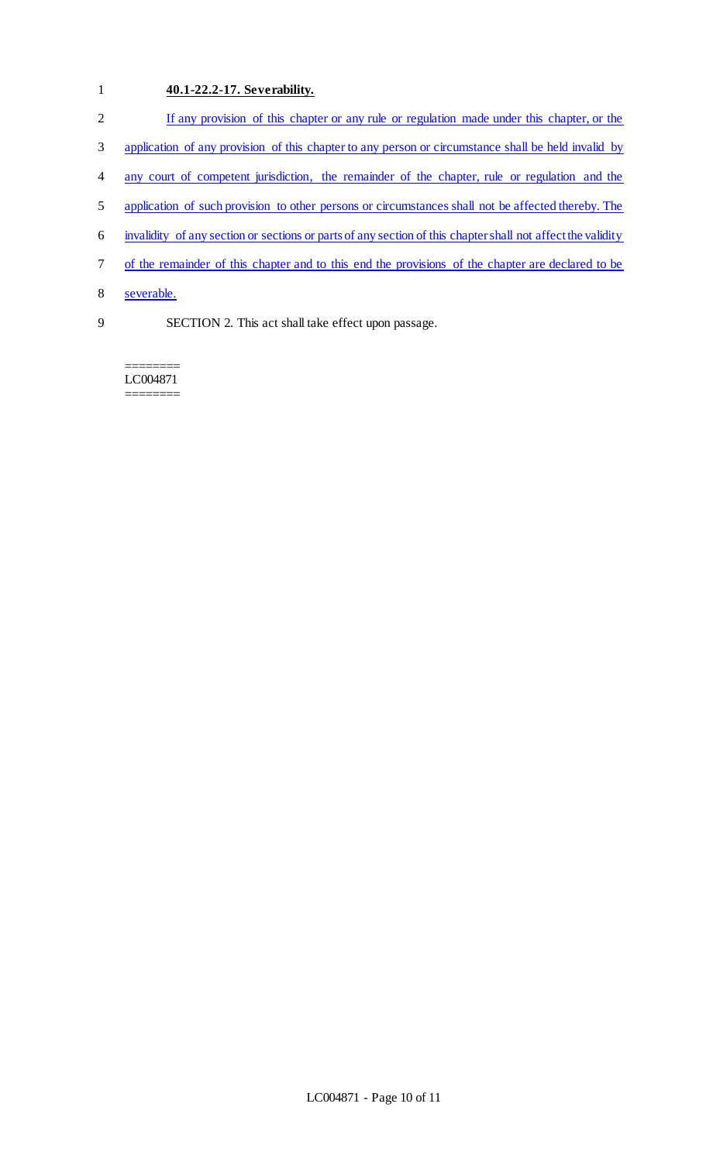# 1 **40.1-22.2-17. Severability.**

| 2 | If any provision of this chapter or any rule or regulation made under this chapter, or the                  |
|---|-------------------------------------------------------------------------------------------------------------|
| 3 | application of any provision of this chapter to any person or circumstance shall be held invalid by         |
| 4 | any court of competent jurisdiction, the remainder of the chapter, rule or regulation and the               |
| 5 | application of such provision to other persons or circumstances shall not be affected thereby. The          |
| 6 | invalidity of any section or sections or parts of any section of this chapter shall not affect the validity |
| 7 | of the remainder of this chapter and to this end the provisions of the chapter are declared to be           |
| 8 | severable.                                                                                                  |
| 9 | SECTION 2. This act shall take effect upon passage.                                                         |

======== LC004871 ========